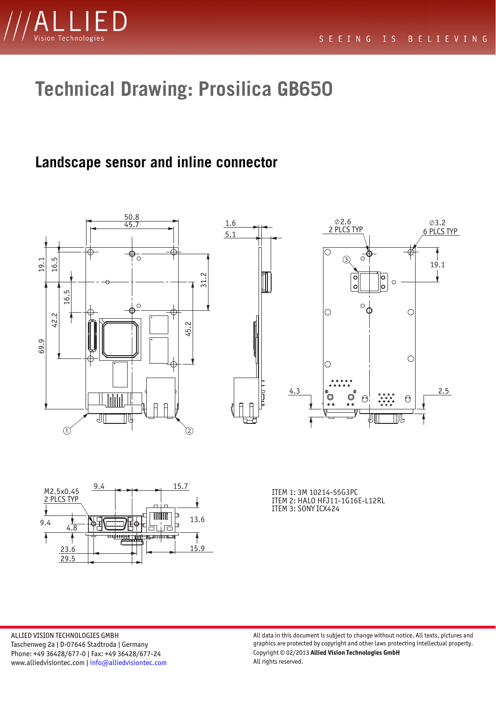

# **Technical Drawing: Prosilica GB650**

#### **Landscape sensor and inline connector**







ALLIED VISION TECHNOLOGIES GMBH Taschenweg 2a | D-07646 Stadtroda | Germany Phone: +49 36428/677-0 | Fax: +49 36428/677-24 www.alliedvisiontec.com | [info@alliedvisiontec.com](mailto: info@alliedvisiontec.com) All data in this document is subject to change without notice. All texts, pictures and graphics are protected by copyright and other laws protecting intellectual property. Copyright © 02/2013 **Allied Vision Technologies GmbH**  All rights reserved.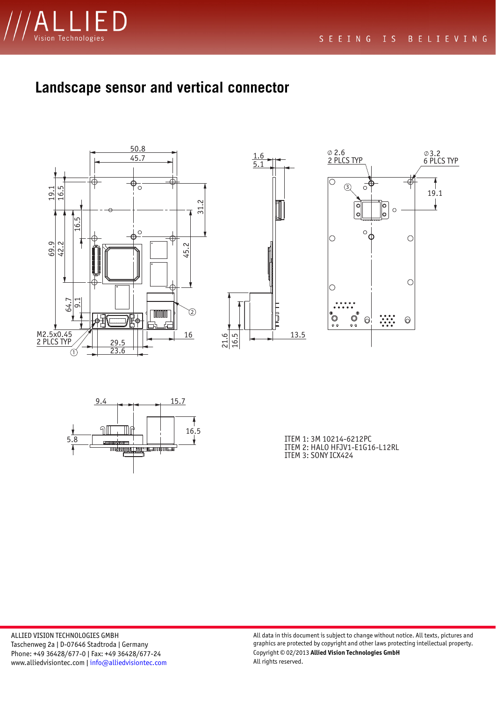

### **Landscape sensor and vertical connector**









ITEM 2: HALO HFJV1-E1G16-L12RL ITEM 3: SONY ICX424

ALLIED VISION TECHNOLOGIES GMBH Taschenweg 2a | D-07646 Stadtroda | Germany Phone: +49 36428/677-0 | Fax: +49 36428/677-24 www.alliedvisiontec.com | [info@alliedvisiontec.com](mailto: info@alliedvisiontec.com)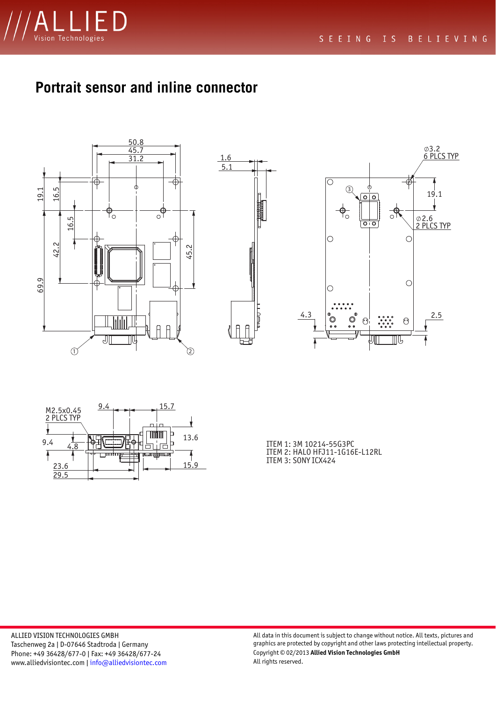

## **Portrait sensor and inline connector**









ITEM 2: HALO HFJ11-1G16E-L12RL ITEM 3: SONY ICX424

ALLIED VISION TECHNOLOGIES GMBH Taschenweg 2a | D-07646 Stadtroda | Germany Phone: +49 36428/677-0 | Fax: +49 36428/677-24 www.alliedvisiontec.com | [info@alliedvisiontec.com](mailto: info@alliedvisiontec.com)